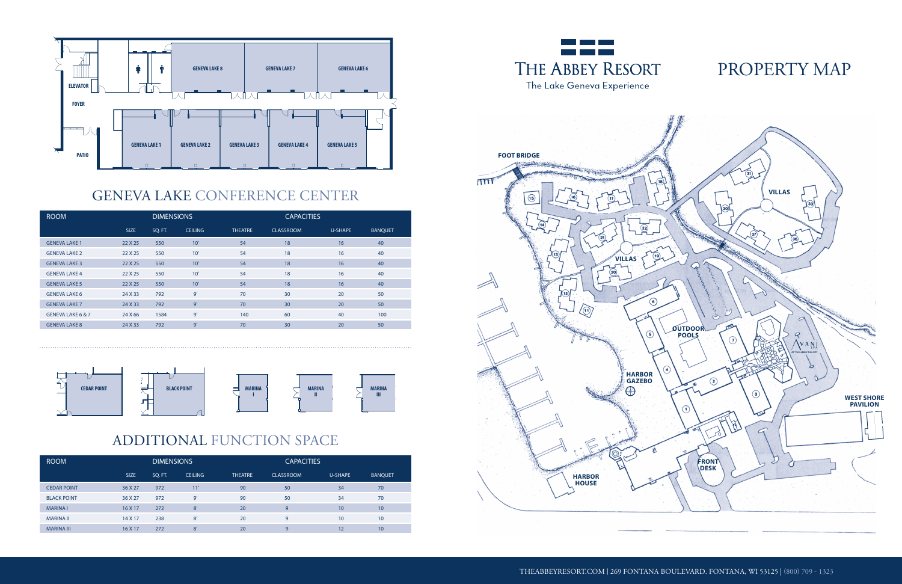# PROPERTY MAP

#### GENEVA LAKE CONFERENCE CENTER

# ADDITIONAL FUNCTION SPACE







| <b>ROOM</b>          | <b>DIMENSIONS</b> |         |                |                | <b>CAPACITIES</b> |         |                |  |
|----------------------|-------------------|---------|----------------|----------------|-------------------|---------|----------------|--|
|                      | <b>SIZE</b>       | SQ. FT. | <b>CEILING</b> | <b>THEATRE</b> | <b>CLASSROOM</b>  | U-SHAPE | <b>BANQUET</b> |  |
| <b>GENEVA LAKE 1</b> | 22 X 25           | 550     | 10'            | 54             | 18                | 16      | 40             |  |
| <b>GENEVA LAKE 2</b> | 22 X 25           | 550     | 10'            | 54             | 18                | 16      | 40             |  |
| <b>GENEVA LAKE 3</b> | 22 X 25           | 550     | 10'            | 54             | 18                | 16      | 40             |  |
| <b>GENEVA LAKE 4</b> | 22 X 25           | 550     | 10'            | 54             | 18                | 16      | 40             |  |
| <b>GENEVA LAKE 5</b> | 22 X 25           | 550     | 10'            | 54             | 18                | 16      | 40             |  |
| <b>GENEVA LAKE 6</b> | 24 X 33           | 792     | 9'             | 70             | 30                | 20      | 50             |  |
| <b>GENEVA LAKE 7</b> | 24 X 33           | 792     | 9'             | 70             | 30                | 20      | 50             |  |
| GENEVA LAKE 6 & 7    | 24 X 66           | 1584    | 9'             | 140            | 60                | 40      | 100            |  |
| <b>GENEVA LAKE 8</b> | 24 X 33           | 792     | 9'             | 70             | 30                | 20      | 50             |  |

| <b>ROOM</b>        | <b>DIMENSIONS</b> |         |                |                | <b>CAPACITIES</b> |         |                |
|--------------------|-------------------|---------|----------------|----------------|-------------------|---------|----------------|
|                    | SIZE              | SQ. FT. | <b>CEILING</b> | <b>THEATRE</b> | <b>CLASSROOM</b>  | U-SHAPE | <b>BANQUET</b> |
| <b>CEDAR POINT</b> | 36 X 27           | 972     | 11'            | 90             | 50                | 34      | 70             |
| <b>BLACK POINT</b> | 36 X 27           | 972     | 9'             | 90             | 50                | 34      | 70             |
| <b>MARINA1</b>     | 16 X 17           | 272     | 8'             | 20             | 9                 | 10      | 10             |
| <b>MARINA II</b>   | 14 X 17           | 238     | 8'             | 20             | 9                 | 10      | 10             |
| <b>MARINA III</b>  | 16 X 17           | 272     | 8'             | 20             | 9                 | 12      | 10             |